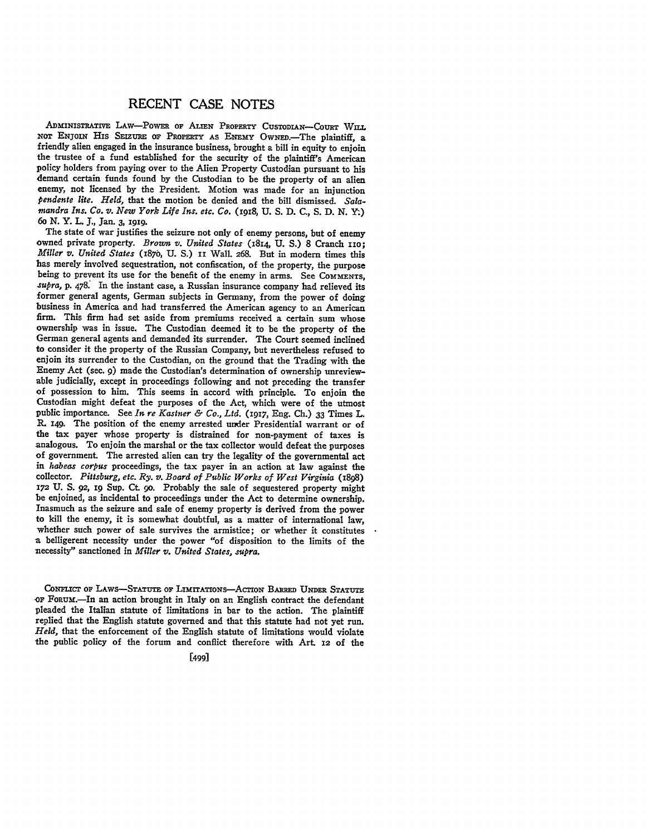## **RECENT CASE NOTES**

ADMINISTRATIVE LAW-POWER OF ALIEN PROPERTY CUSTODIAN-COURT WILL NOT ENJOIN HIS SEIZURE OF PROPERTY AS ENEMY OWNED. The plaintiff a friendly alien engaged in the insurance business, brought a bill in equity to enjoin the trustee of a fund established for the security of the plaintiff's American policy holders from paying over to the Alien Property Custodian pursuant to his demand certain funds found **by** the Custodian to be the property of an alien enemy, not licensed by the President. Motion was made for an injunction *pendente lite. Held,* that the motion be denied and the bill dismissed. *Salamandra Ins. Co. v. New York Life Ins. etc. Co.* **(i918, U. S. D. C., S. D. N.** *Y.)* 6o **N.** Y. L. **J.,** Jan. 3, **I919.**

The state of war justifies the seizure not only of enemy persons, but of enemy owned private property. *Brown v. United States* (1814, **U. S.) 8** Cranch iio; *Miller v. United States* (I87b, **U. S.)** ii Wall. **268.** But in modern times this has merely involved sequestration, not confiscation, of the property, the purpose being to prevent its use for the benefit of the enemy in arms. See COMMENTS, *sUPra,* p. **478.** In the instant case, a Russian insurance company had relieved its former general agents, German subjects in Germany, from the power of doing business in America and had transferred the American agency to an American firm. This firm had set aside from premiums received a certain sum whose ownership was in issue. The Custodian deemed it to be the property of the German general agents and demanded its surrender. The Court seemed inclined to consider it the property of the Russian Company, but nevertheless refused to enjoin its surrender to the Custodian, on the ground that the Trading with the Enemy Act (sec. **9)** made the Custodian's determination of ownership unreviewable judicially, except in proceedings following and not preceding the transfer of possession to him. This seems in accord with principle. To enjoin the Custodian might defeat the purposes of the Act, which were of the utmost public importance. See *In re Kastner & Co., Ltd.* (1917, Eng. **Ch.)** 33 Times L. **R. i49.** The position of the enemy arrested under Presidential warrant or of the tax payer whose property is distrained for non-payment of taxes is analogous. To enjoin the marshal or the tax collector would defeat the purposes of government. The arrested alien can try the legality of the governmental act in *habeas corpus* proceedings, the tax payer in an action at law against the collector. *Pittsburg, etc. Ry. v. Board of Public Works of West Virginia* (I898) <sup>172</sup>**U. S. 92, 19** Sup. Ct go. Probably the sale of sequestered property might be enjoined, as incidental to proceedings under the Act to determine ownership. Inasmuch as the seizure and sale of enemy property is derived from the power to kill the enemy, it is somewhat doubtful, as a matter of international law, whether such power of sale survives the armistice; or whether it constitutes a belligerent necessity under the power "of disposition to the limits of the necessity" sanctioned in *Miller v. United States, supra.*

CONFLICT OF LAWS-STATUTE OF LIMITATIONS-ACTION BARRED UNDER STATUTE **,oF** FoRum.-In an action brought in Italy on an English contract the defendant pleaded the Italian statute of limitations in bar to the action. The plaintiff replied that the English statute governed and that this statute had not yet run. *Held,* that the enforcement of the English statute of limitations would violate the public policy of the forum and conflict therefore with Art 12 of the

[4991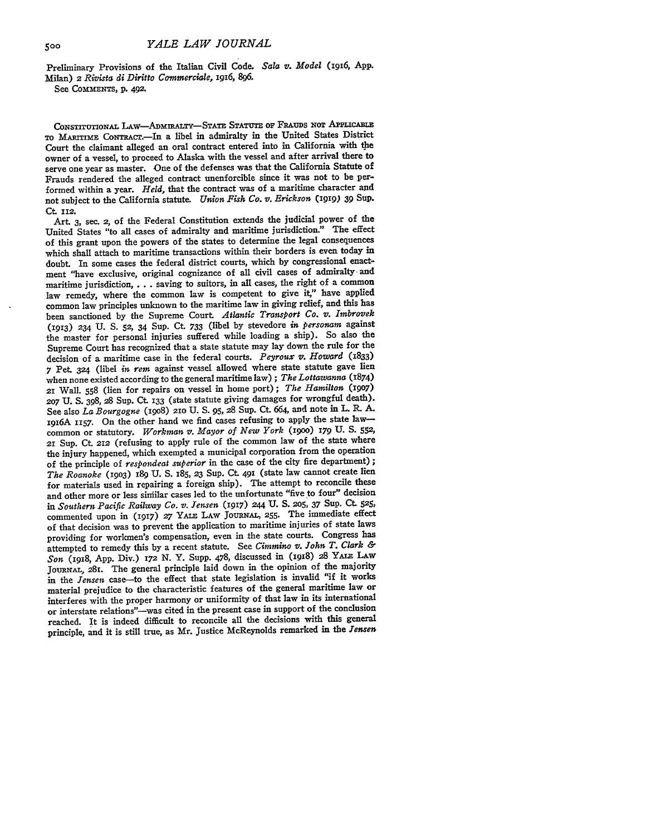Preliminary Provisions of the Italian Civil Code. *Sala v. Model (i916,* App. Milan) 2 *Rivista di Diritto Commerciale,* i916, 896.

See **COMMENTS,** p. 492.

CONSTITUTIONAL LAW-ADMIRALTY-STATE STATUTE OF FRAUDS NOT APPLICABLE To **MARITIME** CoNRAcr.-In a libel in admiralty in the United States District Court the claimant alleged an oral contract entered into in California with the owner of a vessel, to proceed to Alaska with the vessel and after arrival there to serve one year as master. One of the defenses was that the California Statute of Frauds rendered the alleged contract unenforcible since it was not to be performed within a year. *Held,* that the contract was of a maritime character and not subject to the California statute. *Union Fish Co. v. Erickson* **(i919) 39** Sup. Ct. **112.**

Art. **3,** sec. **2,** of the Federal Constitution extends the judicial power of the United States "to all cases of admiralty and maritime jurisdiction." The effect of this grant upon the powers of the states to determine the legal consequences which shall attach to maritime transactions within their borders is even today in doubt. In some cases the federal district courts, which **by** congressional enactment "have exclusive, original cognizance of all civil cases of admiralty and maritime jurisdiction, **. . .** saving to suitors, in all cases, the right of a common law remedy, where the common law is competent to give it," have applied common law principles unknown to the maritime law in giving relief, and this has been sanctioned **by** the Supreme Court. *Atlantic Transport Co. v. Imbrovek* (913) 234 **U. S. 52,** 34 Sup. Ct. **733** (libel **by** stevedore *in personam* against the master for personal injuries suffered while loading a ship). So also the Supreme Court has recognized that a state statute may lay down the rule for the decision of a maritime case in the federal courts. *Peyroux v. Howard* (1833) **<sup>7</sup>**Pet. **324** (libel *in rem* against vessel allowed where state statute gave lien when none existed according to the general maritime law) **;** *The Lottawanna* (1874) 21 Wall. **558** (lien for repairs on vessel in home port); *The Hamilton (i9o7)* **207 U. S. 398,** 28 Sup. **Ct.** 133 (state statute giving damages for wrongful death). See also *La Bourgogne* (19o8) **210 U. S. 95, 28 Sup.** Ct. *664,* and note in L. **R. A.** 1916A 1157. On the other hand we find cases refusing to apply the state lawcommon or statutory. *Workman v. Mayor of New York* (igoo) *179* **U.** *S.* **552, 21 Sup.** Ct. 212 (refusing to apply rule of the common law of the state where the injury happened, which exempted a municipal corporation from the operation of the principle of *respon4deat superior* in the case of the city fire department) **;** *The Roanoke* **(19o3) i89 U. S.** i85, **23** Sup. Ct **491** (state law cannot create lien for materials used in repairing a foreign ship). The attempt to reconcile these and other more or less siniilar cases led to the unfortunate "five to four" decision *in Southern Pacific Railway Co. v. Jensen* (1917) **244 U. S.** *205,* 37 Sup. Ct. **525,** commented upon in (97) **27** YALE LAw **JourmAL, 255.** The immediate effect of that decision was to prevent the application to maritime injuries of state laws providing for workmen's compensation, even in the state courts. Congress has attempted to remedy this **by** a recent statute. See *Cimmino v. John T. Clark & Son* (i918, **App.** Div.) **172 N.** Y. Supp. **478,** discussed in (1918) 28 YAIm **LAw JOURNAL, 281.** The general principle laid down in the opinion of the majority in the *Jensen* case-to the effect that state legislation is invalid "if it works material prejudice to the characteristic features of the general maritime law or interferes with the proper harmony or uniformity of that law in its international or interstate relations"-was cited in the present case in support of the conclusion reached. It is indeed difficult to reconcile all the decisions with this general principle, and it is still true, as Mr. Justice McReynolds remarked in the *Jensen*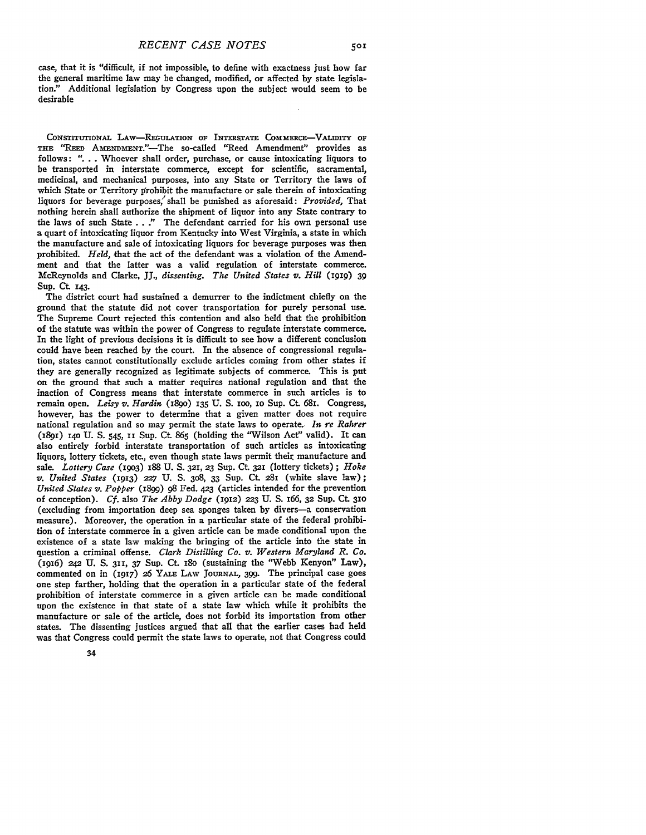case, that it is "difficult, if not impossible, to define with exactness just how far the general maritime law may be changed, modified, or affected **by** state legislation." Additional legislation **by** Congress upon the subject would seem to be desirable

CoNsTrrTIoNAL LAw-RuATioN **OF INTERSTATE** COMMERcE-VALIDITY **OF** THE "REED AMENDMENT."-The so-called "Reed Amendment" provides as follows: *".* .. Whoever shall order, purchase, or cause intoxicating liquors to be transported in interstate commerce, except for scientific, sacramental, medicinal, and mechanical purposes, into any State or Territory the laws of which State or Territory prohibit the manufacture or sale therein of intoxicating liquors for beverage purposes," shall be punished as aforesaid: *Provided,* That nothing herein shall authorize the shipment of liquor into any State contrary to the laws of such State **. .** ." The defendant carried for his own personal use a quart of intoxicating liquor from Kentucky into West Virginia, a state in which the manufacture and sale of intoxicating liquors for beverage purposes was then prohibited. *Held,* that the act of the defendant was a violation of the Amendment and that the latter was a valid regulation of interstate commerce. McReynolds and Clarke, *JJ., dissenting. The United States v. Hill* (1919) **39** Sup. Ct **143.**

The district court had sustained a demurrer to the indictment chiefly on the ground that the statute did not cover transportation for purely personal use. The Supreme Court rejected this contention and also held that the prohibition of the statute was within the power of Congress to regulate interstate commerce. In the light of previous decisions it is difficult to see how a different conclusion could have been reached by the court. In the absence of congressional regulation, states cannot constitutionally exclude articles coming from other states if they are generally recognized as legitimate subjects of commerce. This is put on the ground that such a matter requires national regulation and that the inaction of Congress means that interstate commerce in such articles is to remain open. *Leisy v. Hardin* (i8go) 135 U. S. ioo, io Sup. Ct. 681. Congress, however, has the power to determine that a given matter does not require national regulation and so may permit the state laws to operate, *In re Rahrer* (1891) **140** U. S. 545, **1I** Sup. Ct **865** (holding the "Wilson Act" valid). It can also entirely forbid interstate transportation of such articles as intoxicating liquors, lottery tickets, etc., even though state laws permit their manufacture and sale. *Lottery Case* (19o3) **188** U. **S. 321, 23** Sup. Ct 321 (lottery tickets) ; *Hoke v. United States* **(1913)** *227* **U. S. 308,** 33 Sup. Ct **281** (white slave law); *United States v. Popper* (1899) *98* Fed. **423** (articles intended for the prevention of conception). *Cf.* also *The Abby Dodge* (1912) *223* U. S. 166, **32** Sup. Ct **310** (excluding from importation deep sea sponges taken **by** divers-a conservation measure). Moreover, the operation in a particular state of the federal prohibition of interstate commerce in a given article can be made conditional upon the existence of a state law making the bringing of the article into the state in question a criminal offense. *Clark Distilling Co. v. Western Maryland R. Co.* **(1916)** *242* U. **S. 311,** 37 Sup. Ct. 18o (sustaining the "Webb Kenyon" Law), commented on in (1917) *26* YALE LAw **JoURNAL,** 399. The principal case goes one step farther, holding that the operation in a particular state of the federal prohibition of interstate commerce in a given article can be made conditional upon the existence in that state of a state law which while it prohibits the manufacture or sale of the article, does not forbid its importation from other states. The dissenting justices argued that all that the earlier cases had held was that Congress could permit the state laws to operate, not that Congress could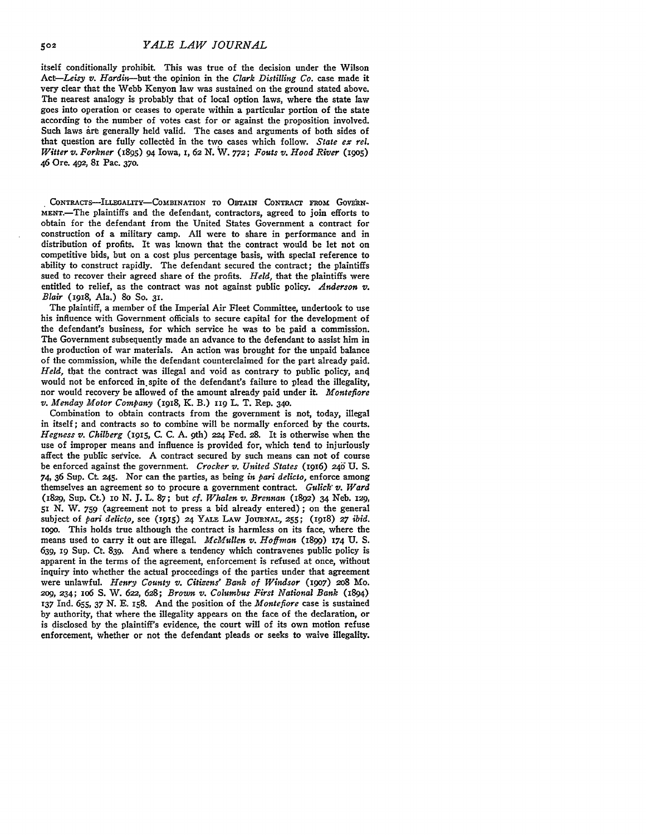itself conditionally prohibit This was true of the decision under the Wilson *Act-Leisy v. Hardin--but* the opinion in the *Clark Distilling Co.* case made it very clear that the Webb Kenyon law was sustained on the ground stated above. The nearest analogy is probably that of local option laws, where the state law goes into operation or ceases to operate within a particular portion of the state according to the number of votes cast for or against the proposition involved. Such laws **art** generally held valid. The cases and arguments of both sides of that question are fully collected in the two cases which follow. *State ex rel. Witter v. Forkner* (1895) 94 Iowa, I, **62 N.** W. **772;** *Fouts v. Hood River (1905)* 46 Ore. 492, 81 Pac. **370.**

CONTRACTS-ILLEGALITY-COMBINATION TO OBTAIN CONTRACT FROM GOVERN-MENT.-The plaintiffs and the defendant, contractors, agreed to join efforts to obtain for the defendant from the United States Government a contract for construction of a military camp. **All** were to share in performance and in distribution of profits. It was known that the contract would be let not on competitive bids, but on a cost plus percentage basis, with special reference to ability to construct rapidly. The defendant secured the contract; the plaintiffs sued to recover their agreed share of the profits. *Held,* that the plaintiffs were entitled to relief, as the contract was not against public policy. *Anderson v. Blair* (I918, Ala.) **8o So. 31.**

The plaintiff, a member of the Imperial Air Fleet Committee, undertook to use his influence with Government officials to secure capital for the development of the defendant's business, for which service he was to **be** paid a commission. The Government subsequently made an advance to the defendant to assist him in the production of war materials. An action was brought for the unpaid balance of the commission, while the defendant counterclaimed for the part already paid. *Held,* that the contract was illegal and void as contrary to public policy, and would not be enforced in spite of the defendant's failure to plead the illegality, nor would recovery be allowed of the amount already paid under it *Monteflore v. Menday Motor Company* (1918, **K.** B.) 119 L. T. Rep. 340.

Combination to obtain contracts from the government is not, today, illegal in itself; and contracts so to combine will be normally enforced **by** the courts. *Hegness v. Chilberg* **(1915, C. C. A.** 9th) **224** Fed. *28.* It is otherwise when the use of improper means and influence is provided for, which tend to injuriously affect the public service. A contract secured by such means can not of course be enforced against the government. *Crocker v. United States* (i916) **246-** U. **S.** 74, 36 Sup. Ct. 245. Nor can the parties, as being *in pari delicto*, enforce among themselves an agreement so to procure a government contract. *Gulick' v. Ward* (1829, Sup. Ct.) io N. J. L. 87; but *cf. Whalen v. Brennan* **(1892)** 34 Neb. i29, 51 N. W. 759 (agreement not to press a bid already entered); on the general subject of *pari delicto,* see (igr5) *24* YALE LA W JOURNAL, **255;** (1gi8) **27** *ibid.* iogo. This holds true although the contract is harmless on its face, where the means used to carry it out are illegal. *McMullen v. Hoffman (i899)* **174** U. S. 639, *i9* Sup. Ct. 839. And where a tendency which contravenes public policy is apparent in the terms of the agreement, enforcement is refused at once, without inquiry into whether the actual proceedings of the parties under that agreement were unlawful. *Henry County v. Citizens' Bank of Windsor* (i9o7) **208** Mo. 209, **234;** io6 **S.** W. **622,** 628; *Brown v. Columbus First National Bank* (1894) 137 Ind. **655,** *37* **N. E. i58.** And the position of the *Montefiore* case is sustained **by** authority, that where the illegality appears on the face of the declaration, or is disclosed **by** the plaintiff's evidence, the court will of its own motion refuse enforcement, whether or not the defendant pleads or seeks to waive illegality.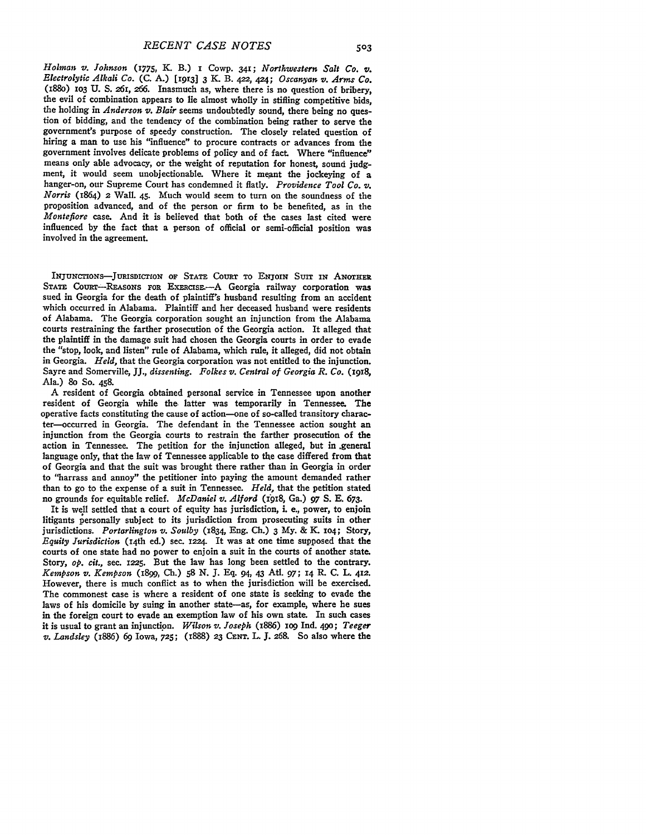*Holman* v. *Johnson* (i775, *K.* B.) I Cowp. **341;** *Northwestern Salt Co. v. Electrolytic Alkali Co.* (C. A.) [1913] 3 K. B. 422, 424; *Oscanyan v. Arms Co.* (i88o) **io3 U. S. 261, 266.** Inasmuch as, where there is no question of bribery, the evil of combination appears to lie almost wholly in stifling competitive bids, the holding in *Anderson v. Blair* seems undoubtedly sound, there being no question of bidding, and the tendency of the combination being rather to serve the government's purpose of speedy construction. The closely related question of hiring a man to use his "influence" to procure contracts or advances from the government involves delicate problems of policy and of fact. Where "influence" means only able advocacy, or the weight of reputation for honest, sound **judg**hanger-on, our Supreme Court has condemned it flatly. *Providence Tool Co. v. Norris* (1864) **2** Wall. 45. Much would seem to turn on the soundness of the proposition advanced, and of the person or firm to be benefited, as in the *Monteflore* case. And it is believed that both of the cases last cited were influenced **by** the fact that a person of official or semi-official position was involved in the agreement.

INJUNCIoNs-JRISDIcTION **oF STATE CouRT To ENjoIN SUIT IN ANoTHER** STATE COURT-REASONS FOR EXERCISE-A Georgia railway corporation was sued in Georgia for the death of plaintiff's husband resulting from an accident which occurred in Alabama. Plaintiff and her deceased husband were residents of Alabama. The Georgia corporation sought an injunction from the Alabama courts restraining the farther prosecution of the Georgia action. It alleged that the plaintiff in the damage suit had chosen the Georgia courts in order to evade the "stop, look, and listen" rule of Alabama, which rule, it alleged, did not obtain in Georgia. *Held,* that the Georgia corporation was not entitled to the injunction. Sayre and Somerville, **JJ.,** *dissenting. Folkes v. Central of Georgia R. Co.* (1918, Ala.) 8o So. 458.

A resident of Georgia obtained personal service in Tennessee upon another resident of Georgia while the. latter was temporarily in Tennessee. The operative facts constituting the cause of action-one of so-called transitory character-occurred in Georgia. The defendant in the Tennessee action sought an injunction from the Georgia courts to restrain the farther prosecution of the action in Tennessee. The petition for the injunction alleged, but in .general language only, that the law of Tennessee applicable to the case differed from that of Georgia and that the suit was brought there rather than in Georgia in order to "harrass and annoy" the petitioner into paying the amount demanded rather than to go to the expense of a suit in Tennessee. *Held,* that the petition stated no grounds for equitable relief. *McDaniel v. Alford* (igi8, Ga.) **97 S. E. 673.**

It is well settled that a court of equity has jurisdiction, i. e., power, to enjoin litigants personally subject to its jurisdiction from prosecuting suits in other jurisdictions. *Portarlington v. Soulby* (1834, Eng. **Ch.) 3** My. **&** *K.* **104;** Story, *Equity Jurisdiction* (14th ed.) sec. 1224. It was at one time supposed that the courts of one state had no power to enjoin a suit in the courts of another state. Story, *op. cit.*, sec. 1225. But the law has long been settled to the contrary. *Kempson v. Kempson* (1899, **Ch.) 58** N. **J. Eq.** 94, 43 At. **97; 14** R. C. L. 412. However, there is much conflict as to when the jurisdiction will be exercised. The commonest case is where a resident of one state is seeking to evade the laws of his domicile **by** suing in another state-as, for example, where he sues in the foreign court to evade an exemption law of his own state. In such cases it is usual to grant an injunction. *Wilson v. Joseph* (1886) iog Ind. **490;** *Teeger v. Landsley* (1886) **69** Iowa, **725;** (i888) **23 CENT.** L. **J.** 268. So also where the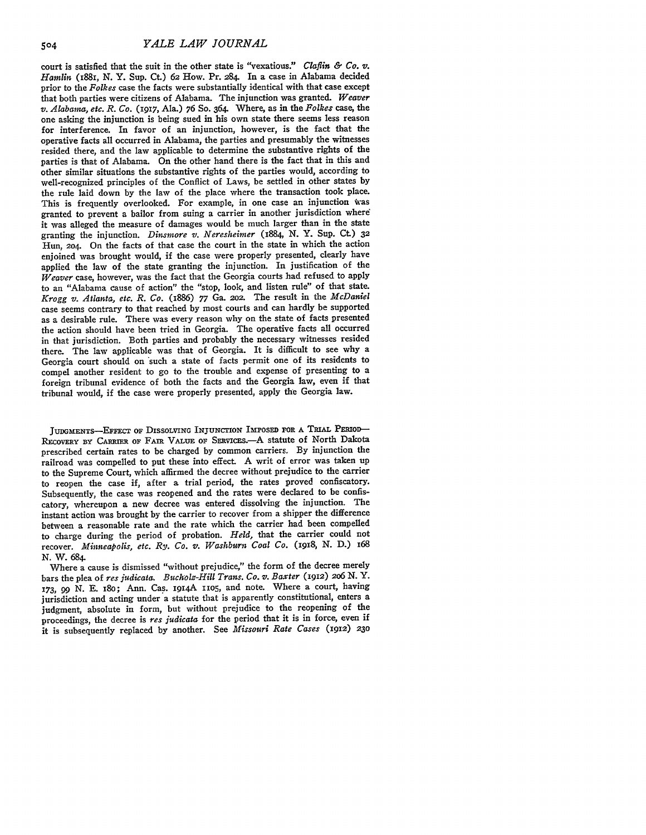court is satisfied that the suit in the other state is "vexatious." *Clflin & Co. v. Hamlin* (188i, N. Y. Sup. Ct.) 62 How. Pr. 284. In a case in Alabama decided prior to the *Folkes* case the facts were substantially identical with that case except that both parties were citizens of Alabama. The injunction was granted. *Weaver v. Alabama, etc. R. Co.* (917, Ala.) 76 So. 364. Where, as in the *Folkes* case, the one asking the injunction is being sued in his own state there seems less reason for interference. In favor of an injunction, however, is the fact that the operative facts all occurred in Alabama, the parties and presumably the witnesses resided there, and the law applicable to determine the substantive rights of the parties is that of Alabama. On the other hand there is the fact that in this and other similar situations the substantive rights of the parties would, according to well-recognized principles of the Conflict of Laws, be settled in other states by the rule laid down by the law of the place where the transaction took place. This is frequently overlooked. For example, in one case an injunction was granted to prevent a bailor from suing a carrier in another jurisdiction where it was alleged the measure of damages would be much larger than in the state granting the injunction. *Dinsmore v. Neresheimer* (1884, N. Y. Sup. **Ct) 32** Hun, 204. On the facts of that case the court in the state in which the action enjoined was brought would, if the case were properly presented, clearly have applied the law of the state granting the injunction. In justification of the *Weaver* case, however, was the fact that the Georgia courts had refused to apply to an "Alabama cause of action" the "stop, look, and listen rule" of that state. *Krogg v. Atlanta, etc. R. Co.* (1886) 77 Ga. 2o2. The result in the *McDaniel* case seems contrary to that reached by most courts and can hardly be supported as a desirable rule. There was every reason why on the state of facts presented the action should have been tried in Georgia. The operative facts all occurred in that jurisdiction. Both parties and probably the necessary witnesses resided there. The law applicable was that of Georgia. It is difficult to see why a Georgia court should on such a state of facts permit one of its residents to compel another resident to go to the trouble and expense of presenting to a foreign tribunal evidence of both the facts and the Georgia law, even if that tribunal would, if the case were properly presented, apply the Georgia law.

**JUDGMENTS-EFFEC OF DISSOLVING INJUNCTION IMPOSED FOR A TRIAL** PERIOD-RECOVERY BY CARRIER OF FAIR VALUE OF SERVICES.-- A statute of North Dakota prescribed certain rates to be charged by common carriers. By injunction the railroad was compelled to put these into effect. A writ of error was taken up to the Supreme Court, which affirmed the decree without prejudice to the carrier to reopen the case if, after a trial period, the rates proved confiscatory. Subsequently, the case was reopened and the rates were declared to be confiscatory, whereupon a new decree was entered dissolving the injunction. The instant action was brought by the carrier to recover from a shipper the difference between a reasonable rate and the rate which the carrier had been compelled to charge during the period of probation. *Held,* that the carrier could not recover. *Minneapolis, etc. Ry. Co. v. Washburn Coal Co.* (1918, N. D.) <sup>168</sup> N. W. 684.

Where a cause is dismissed "without prejudice," the form of the decree merely bars the plea of *res judicata. Bucholz-Hill Trans.* Co. *v. Baxter* (1912) 206 **N.** Y. **173,** 99 **N. E.** I8o; Ann. Cas. I9i4A 1105, and note. Where a court, having jurisdiction and acting under a statute that is apparently constitutional, enters a judgment, absolute in form, but without prejudice to the reopening of the proceedings, the decree is *res judicata* for the period that it is in force, even if it is subsequently replaced by another. See *Missouri Rate Cases* (1912) 23o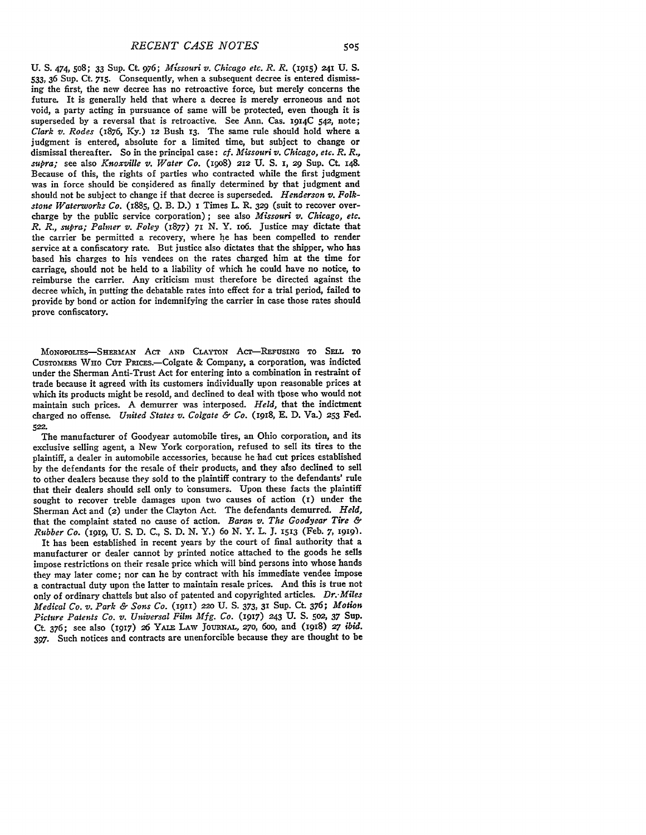U. **S.** 474, **508; 33** Sup. Ct. **976;** *Missouri v. Chicago etc. R. R.* **(915) 241 U. S. 533, 36** Sup. Ct. 715. Consequently, when a subsequent decree is entered dismissing the first, the new decree has no retroactive force, but merely concerns the future. It is generally held that where a decree is merely erroneous and not void, a party acting in pursuance of same will be protected, even though it is superseded by a reversal that is retroactive. See Ann. Cas. 1914C 542, note; *Clark v. Rodes* (1876, Ky.) 12 Bush **13.** The same rule should hold where a judgment is entered, absolute for a limited time, but subject to change or dismissal thereafter. So in the principal case: *cf. Missouri v. Chicago, etc. R. R., supra;* see also *Knoxville v. Water Co.* (i9o8) **212** U. S. **I,** 29 **Sup.** Ct. 148. Because of this, the rights of parties who contracted while the first judgment was in force should be considered as finally determined by that judgment and should not be subject to change if that decree is superseded. *Henderson v. Folkstone Waterworks Co.* (1885, **Q.** B. D.) i Times L. R. *329* (suit to recover overcharge by the public service corporation); see also *Missouri v. Chicago, etc. R. R., supra; Palmer v. Foley* (1877) 71 N. Y. io6. Justice may dictate that the carrier be permitted a recovery, where he has been compelled to render service at a confiscatory rate. But justice also dictates that the shipper, who has based his charges to his vendees on the rates charged him at the time for carriage, should not be held to a liability of which he could have no notice, to reimburse the carrier. Any criticism must therefore be directed against the decree which, in putting the debatable rates into effect for a trial period, failed to provide by bond or action for indemnifying the carrier in case those rates should prove confiscatory.

**MoNo oLIEs-SHERmAN** AcT **AND CLAYTON** AcT-RFUSING **TO SE.LL TO** CUSTOMERS WHO CUT PRICES.—Colgate & Company, a corporation, was indicted under the Sherman Anti-Trust Act for entering into a combination in restraint of trade because it agreed with its customers individually upon reasonable prices at which its products might be resold, and declined to deal with those who would not maintain such prices. **A** demurrer was interposed. *Held,* that the indictment charged no offense. *United States v. Colgate & Co.* (1918, **E. D.** Va.) *253* Fed. **522.**

The manufacturer of Goodyear automobile tires, an Ohio corporation, and its exclusive selling agent, a New York corporation, refused to sell its tires to the plaintiff, a dealer in automobile accessories, because he had cut prices established by the defendants for the resale of their products, and they also declined to sell to other dealers because they sold to the plaintiff contrary to the defendants' rule that their dealers should sell only to 'consumers. Upon these facts the plaintiff sought to recover treble damages upon two causes of action (i) under the Sherman Act and (2) under the Clayton Act. The defendants demurred. *Held,* that the complaint stated no cause of action. *Baran v. The Goodyear Tire & Rubber Co.* **(1919, U. S. D. C., S. D. N.** Y.) 6o **N.** Y. L. **J. 1513** (Feb. **7, 1919).**

It has been established in recent years **by** the court of final authority that a manufacturer or dealer cannot **by** printed notice attached to the goods he sells impose restrictions on their resale price which will bind persons into whose hands they may later come; nor can he **by** contract with his immediate vendee impose a contractual duty upon the latter to maintain resale prices. And this is true not only of ordinary chattels but also of patented and copyrighted articles. *Dr.-Miles Medical Co. v. Park & Sons Co.* (1911) *22o* **U. S.** 373, **31** Sup. Ct. 376; *Motion Picture Patents Co. v. Universal Film Mfg. Co.* (1917) **243 U. S. 502,** 37 **Sup.** Ct 376; see also (1917) 26 **YALE** LAW **Jot'R1NAL,** 27o, 6oo, and (I918) **27** *ibid.* **397.** Such notices and contracts are unenforcible because they are thought to be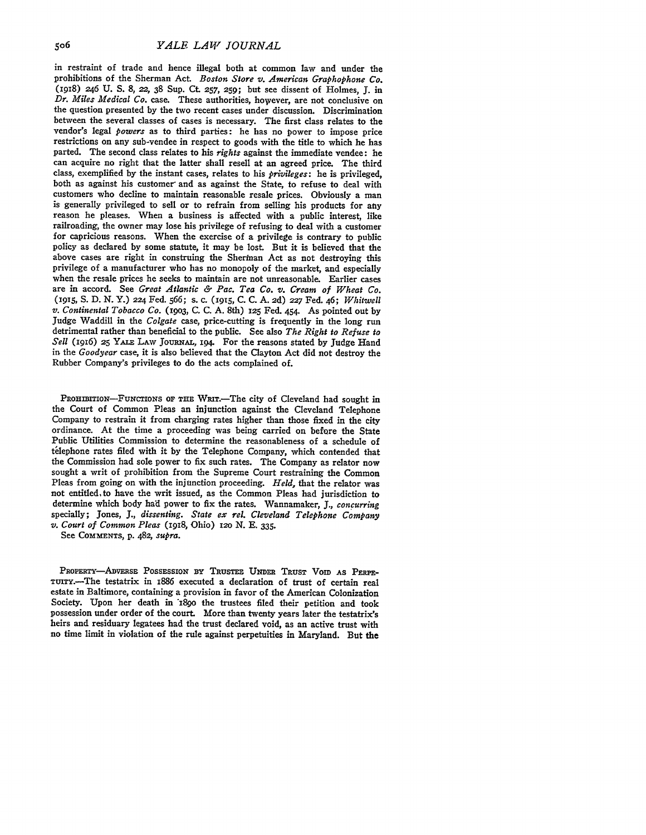in restraint of trade and hence illegal both at common law and under the prohibitions of the Sherman Act. *Boston Store v. American Graphophone Co.* (1918) 246 U. S. 8, *22,* 38 Sup. Ct **257, 259;** but see dissent of Holmes, J. in Dr. Miles Medical Co. case. These authorities, however, are not conclusive on the question presented by the two recent cases under discussion. Discrimination between the several classes of cases is necessary. The first class relates to the vendor's legal *powers* as to third parties: he has no power to impose price restrictions on any sub-vendee in respect to goods with the title to which he has parted. The second class relates to his rights against the immediate vendee: he can acquire no right that the latter shall resell at an agreed price. The third class, exemplified by the instant cases, relates to his *privileges:* he is privileged, both as against his customer and as against the State, to refuse to deal with customers who decline to maintain reasonable resale prices. Obviously a man is generally privileged to sell or to refrain from selling his products for any reason he pleases. When a business is affected with a public interest, like railroading, the owner may lose his privilege of refusing to deal with a customer for capricious reasons. When the exercise of a privilege is contrary to public policy as declared by some statute, it may be lost. But it is believed that the above cases are right in construing the Shernan Act as not destroying this privilege of a manufacturer who has no monopoly of the market, and especially when the resale prices he seeks to maintain are not unreasonable. Earlier cases are in accord. See *Great Atlantic & Pac. Tea Co. v. Cream of Wheat Co.* (1915, S. D. N. Y.) 224 Fed. 566; s. c. (1915, C. C. A. 2d) 227 Fed. 46; Whitwell *v. Continental Tobacco Co.* (19o3, C. C. A. 8th) **125** Fed. 454. As pointed out by Judge Waddill in the *Colgate* case, price-cutting is frequently in the long run detrimental rather than beneficial to the public. See also *The Right to Refuse to Sell* (1916) **25** YALE LAw **JouRNAL, 194.** For the reasons stated by Judge Hand in the *Goodyear* case, it is also believed that the Clayton Act did not destroy the Rubber Company's privileges to do the acts complained of.

PROHIBITION-FUNCTIONS OF THE WRIT.-The city of Cleveland had sought in the Court of Common Pleas an injunction against the Cleveland Telephone Company to restrain it from charging rates higher than those fixed in the city ordinance. At the time a proceeding was being carried on before the State Public Utilities Commission to determine the reasonableness of a schedule of telephone rates filed with it by the Telephone Company, which contended that the Commission had sole power to fix such rates. The Company as relator now sought a writ of prohibition from the Supreme Court restraining the Common Pleas from going on with the injunction proceeding. *Held,* that the relator was not entitled,to have the writ issued, as the Common Pleas had jurisdiction to determine which body haid power to fix the rates. Wannamaker, **J.,** *concurring* specially; Jones, *J., dissenting. State ex rel. Cleveland Telephone Company v. Court of Common Pleas* (1918, Ohio) i2o N. E. 335.

See **COMMENTS,** p. 482, *supra.*

PROPERTY-ADVERSE POSSESSION BY TRUSTEE UNDER TRUST VOID AS PERPE-TuiTY.-The testatrix in 1886 executed a declaration of trust of certain real estate in Baltimore, containing a provision in favor of the American Colonization Society. Upon her death in "I8go the trustees filed their petition and took possession under order of the court. More than twenty years later the testatrix's heirs and residuary legatees had the trust declared void, as an active trust with no time limit in violation of the rule against perpetuities in Maryland. But the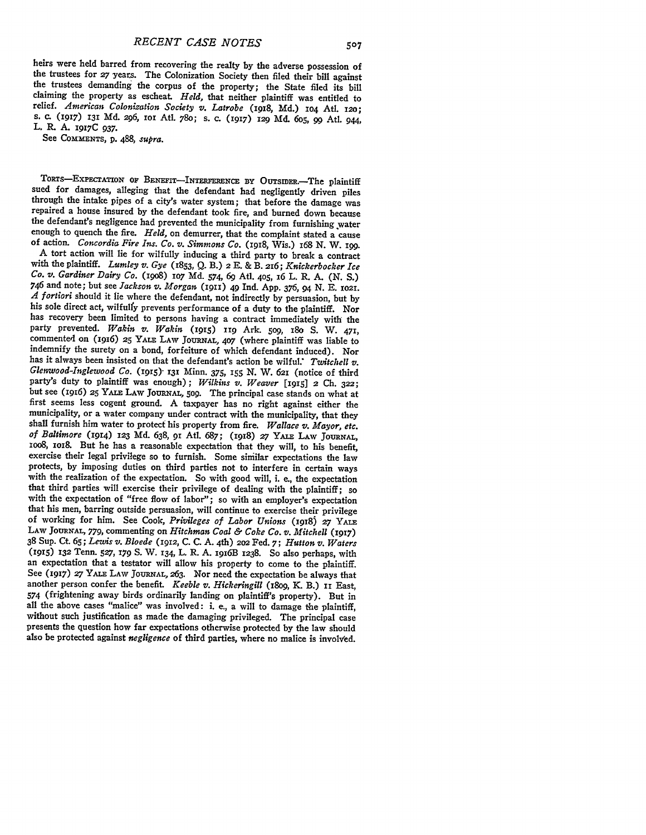heirs were held barred from recovering the realty by the adverse possession of the trustees for *27* years. The Colonization Society then filed their bill against the trustees demanding the corpus of the property; the State filed its bill claiming the property as escheat. *Held,* that neither plaintiff was entitled to relief. *American Colonization Society v. Latrobe* (1918, Md.) 104 Atl. 120;<br>s. c. (1917) 131 Md. 296, 101 Atl. 780; s. c. (1917) 129 Md. 605, 99 Atl. 944, L. R. A. 1917C 937.

See **COMMENTS,** p. 488, *supra.*

TORTS—EXPECTATION OF BENEFIT—INTERFERENCE BY OUTSIDER.—The plaintiff sued for damages, alleging that the defendant had negligently driven piles through the intake pipes of a city's water system; that before the damage was the defendant's negligence had prevented the municipality from furnishing water enough to quench the fire. *Held,* on demurrer, that the complaint stated a cause of action. *Concordia Fire Ins. Co. v. Simmons Co.* (I918, Wis.) **I68** N. W. **i99.**

A tort action will lie for wilfully inducing a third party to break a contract with the plaintiff. *Lumley v. Gye* **(1853,** Q. B.) *2* E. & B. 216; *Knickerbocker Ice Co. v. Gardiner Dairy Co.* (igo8) i7 Md. 574, *69* Ati. 405, 16 L. **R.** A. (N. **S.)** 746 and note; but see *Jackson v. Morgan* (91) **49** Ind. App. *376, 94* N. **E. 021.** *<sup>A</sup>fortiori* should it lie where the defendant, not indirectly by persuasion, but by his sole direct act, wilfulfy prevents performance of a duty to the plaintiff. Nor has recovery been limited to persons having a contract immediately with the party prevented. *Wakin v. Wakin* (1915) ni9 Ark. **509,** i8o **S.** W. **471,** commented on (1916) **25 YALE** LAw **JOURNAL,** 4o7 (where plaintiff was liable to indemnify the surety on a bond, forfeiture of which defendant induced). Nor has it always been insisted on that the defendant's action be wilful. Twitchell  $v$ . has it always been insisted on that the defendant's action be wilful. *Twitchell v. Glenwood-Inglewood Co. (915)'* **131** Minn. 375, *i55* N. W. **621** (notice of third party's duty to plaintiff was enough); *Wilkins v. Weaver* **[1915]** 2 Ch. **322;** but see (1916) 25 YALE LAW JOURNAL, 509. The principal case stands on what at first seems less cogent ground. A taxpayer has no right against either the shall furnish him water to protect his property from fire. *Wallace v. Mayor, etc.* of Baltimore (1914) 123 Md. 638, 91 Atl. 687; (1918) 27 YALE LAW JOURNAL. 1008, 1018. But he has a reasonable expectation that they will, to his benefit, exercise their legal privilege so to furnish. Some similar expectations the law protects, by imposing duties on third parties not to interfere in certain ways with the realization of the expectation. So with good will, i. e., the expectation that third parties will exercise their privilege of dealing with the plaintiff; so with the expectation of "free flow of labor"; so with a LAW JOURNAL, 779, commenting on *Hitchman, Coal & Coke Co. v. Mitchell* (1917) 38 Sup. Ct. 65; Lewis v. Bloede (1912, C. C. A. 4th) 202 Fed. 7; Hutton v. Waters (1915) 132 Tenn. 527, 179 S. W. 134, L. R. A. 1916B 1238. So also perhaps, with an expectation that a testator will allow his property to come to the plaintiff. See (1917) 27 YALE LAW JOURNAL, 263. Nor need the expectatio another person confer the benefit. *Keeble v. Hickeringill* (1809, K. B.) II East, 574 (frightening away birds ordinarily landing on plaintiff's property). But in all the above cases "malice" was involved: i. e., a will to damage the plaintiff, without such justification as made the damaging privileged. The principal case presents the question how far expectations otherwise protecte also be protected against *negligence* of third parties, where no malice is involved.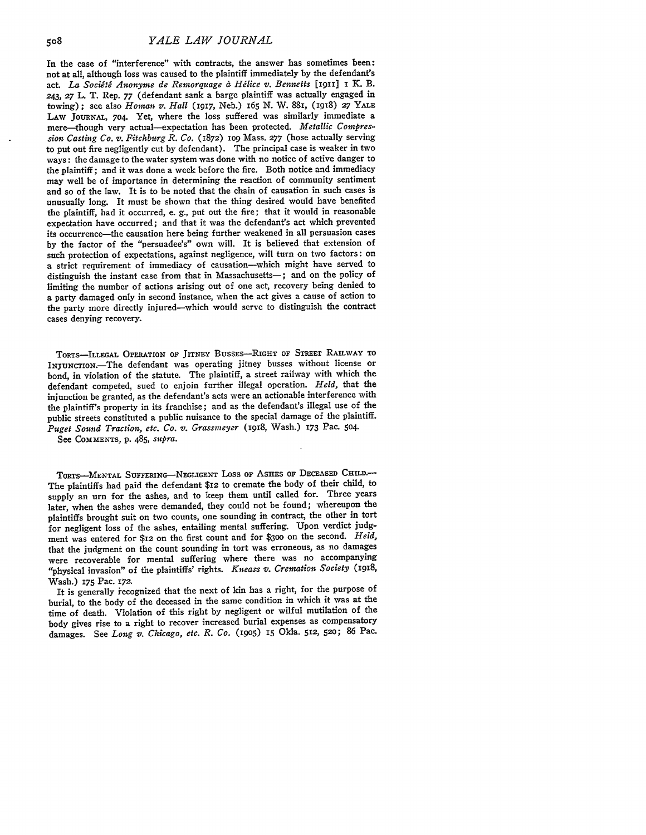In the case of "interference" with contracts, the answer has sometimes been: not at all, although loss was caused to the plaintiff immediately by the defendant's act. La Société Anonyme de Remorquage à Hélice v. Bennetts [1911] *I* K. B. 243, **<sup>27</sup>**L. T. Rep. 77 (defendant sank a barge plaintiff was actually engaged in towing); see also *Homan v. Hall* (1917, Neb.) 165 N. W. 88I, (1918) *27* YALE LAW **JOURNAL,** 704. Yet, where the loss suffered was similarly immediate a mere-though very actual-expectation has been protected. *Metallic Compression. Casting Co. v. Fitchburg R. Co.* (1872) iog Mass. **277** (hose actually serving to put out fire negligently cut by defendant). The principal case is weaker in two ways: the damage to the water system was done with no notice of active danger to the plaintiff ; and it was done a week before the fire. Both notice and immediacy may well be of importance in determining the reaction of community sentiment and so of the law. It is to be noted that the chain of causation in such cases is unusually long. It must be shown that the thing desired would have benefited the plaintiff, had it occurred, e. g., put out the fire; that it would in reasonable expectation have occurred; and that it was the defendant's act which prevented its occurrence-the causation here being further weakened in all persuasion cases by the factor of the "persuadee's" own will. It is believed that extension of such protection of expectations, against negligence, will turn on two factors: on a strict requirement of immediacy of causation-which might have served to distinguish the instant case from that in Massachusetts-; and on the policy of limiting the number of actions arising out of one act, recovery being denied to a party damaged only in second instance, when the act gives a cause of action to the party more directly injured-which would serve to distinguish the contract cases denying recovery.

TORTS-ILLEGAL OPERATION **OF JiTNEY** BUSSEs-RIGHT **OF** STREET RAILWAY TO INJUNCTION.-The defendant was operating jitney busses without license or bond, in violation of the statute. The plaintiff, a street railway with which the defendant competed, sued to enjoin further illegal operation. *Held,* that the injunction be granted, as the defendant's acts were an actionable interference with the plaintiff's property in its franchise; and as the defendant's illegal use of the public streets constituted a public nuisance to the special damage of the plaintiff. *Puget Sound Traction, etc. Co. v. Grassineyer* (1918, Wash.) 173 Pac. **504.**

See **COMMENTS,** p. 485, *supra.*

TORTS-MENTAL SUFFERING-NEGLIGENT Loss OF ASHES **OF** DECEASED **CHILD.-** The plaintiffs had paid the defendant \$12 to cremate the body of their child, to supply an urn for the ashes, and to keep them until called for. Three years later, when the ashes were demanded, they could not be found; whereupon the plaintiffs brought suit on two counts, one sounding in contract, the other in tort for negligent loss of the ashes, entailing mental suffering. Upon verdict judgment was entered for \$12 on the first count and for \$3oo on the second. *Held,* that the judgment on the count sounding in tort was erroneous, as no damages were recoverable for mental suffering where there was no accompanying "physical invasion" of the plaintiffs' rights. *Kneass v. Cremation Society (1918,* Wash.) *175* Pac. 172.

It is generally iecognized that the next of kin has a right, for the purpose of burial, to the body of the deceased in the same condition in which it was at the time of death. Violation of this right **by** negligent or wilful mutilation of the body gives rise to a right to recover increased burial expenses as compensatory damages. See *Long v. Chicago, etc. R. Co.* **(195o) I5** Okla. **512, 520;** 86 Pac.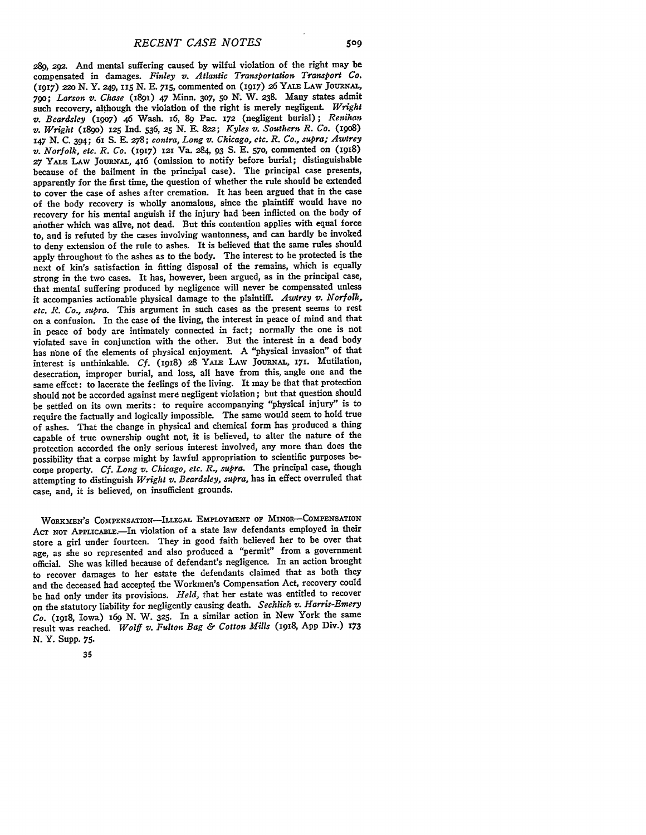**289, 292.** And mental suffering caused **by** wilful violation of the right may be compensated in damages. *Finley v. Atlantic Transportation Transport Co.* **(r917)** *22o* **N.** Y. 249, **115 N. E.** *71S,* commented on **(917) 26 YALE LAW JOURNAL,** *790; Larson v. Chase* (i89i) *47* Minn. **307, 50** *N.* W. **238.** Many states admit such recovery, although the violation of the right is merely negligent. *Wright v. Beardsley* (19o7) 46 Wash. i6, **89** Pac. **172** (negligent burial); *Renihan v. Wright* (i8go) 125 Ind. 536, **25** *N.* **E. 822;** *Kyles v. Southern R. Co.* **(i9o8)** *147* **N. C.** 394; 6I **S. E. 278;** *contra, Long v. Chicago, etc. R. Co., supra; Awtrey v. Norfolk, etc. R. Co.* (1917) **121** Va. **284, 93 S. E. 570,** commented on (1918) **27** YALE **LAW JOURNAL,** 416 (omission to notify before burial; distinguishable because of the bailment in the principal case). The principal case presents, apparently for the first time, the question of whether the rule should be extended to cover the case of ashes after cremation. It has been argued that in the case of the body recovery is wholly anomalous, since the plaintiff would have no recovery for his mental anguish if the injury had been inflicted on the body of another which was alive, not dead. But this contention applies with equal force to, and is refuted by the cases involving wantonness, and can hardly be invoked to deny extension of the rule to ashes. It is believed that the same rules should apply throughout **to** the ashes as to the body. The interest to be protected is the next of kin's satisfaction in fitting disposal of the remains, which is equally strong in the two cases. It has, however, been argued, as in the principal case, that mental suffering produced **by** negligence will never be compensated unless it accompanies actionable physical damage to the plaintiff. *Awtrey v. Norfolk, etc. R. Co., supra.* This argument in such cases as the present seems to rest on a confusion. In the case of the living, the interest in peace of mind and that in peace of body are intimately connected in fact; normally the one is not violated save in conjunction with the other. But the interest in a dead body has none of the elements of physical enjoyment. A "physical invasion" of that interest is unthinkable. *Cf.* (1918) **28** YALE **LAW** *JoURNAL,* **171.** Mutilation, desecration, improper burial, and loss, all have from this, angle one and the same effect: to lacerate the feelings of the living. It may be that that protection should not be accorded against mere negligent violation; but that question should be settled on its own merits: to require accompanying "physical injury" is to require the factually and logically impossible. The same would seem to hold true of ashes. That the change in physical and chemical form has produced a thing capable of true ownership ought not, it is believed, to alter the nature of the protection accorded the only serious interest involved, any more than does the possibility that a corpse might **by** lawful appropriation to scientific purposes becorie property. *Cf. Long v. Chicago, etc. R., supra.* The principal case, though attempting to distinguish Wright v. Beardsley, supra, has in effect overruled that case, and, it is believed, on insufficient grounds.

**WORKMEN'S COMPENSATION-ILLEGAL EMPLOYMENT OF MINOR-COMPENSATION AcT NOT APPLicABLE.-In** violation of a state law defendants employed in their store a girl under fourteen. They in good faith believed her to be over that age, as she so represented and also produced a "permit" from a government official. She was killed because of defendant's negligence. In an action brought to recover damages to her estate the defendants claimed that as both they and the deceased had accepted the Workmen's Compensation Act, recovery could be had only under its provisions. *Held,* that her estate was entitled to recover on the statutory liability for negligently causing death. *Sechlich v. Harris-Emery Co.* (1918, Iowa) **I69 N.** W. **325.** In a similar action in New York the same result was reached. *Wolff v. Fulton Bag & Cotton Mills* (1918, App Div.) **<sup>173</sup> N.** Y. Supp. **75.**